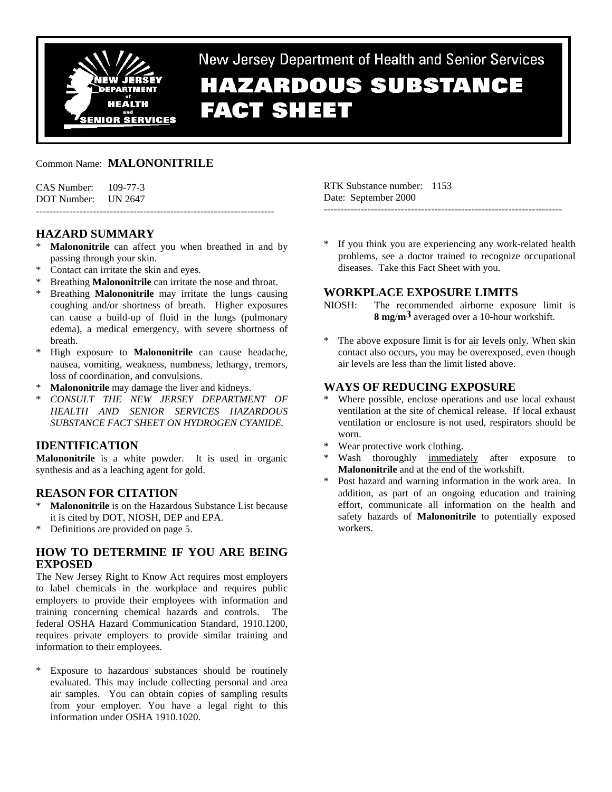

New Jersey Department of Health and Senior Services

# **HAZARDOUS SUBSTANCE FACT SHEET**

## Common Name: **MALONONITRILE**

| $CAS$ Number: $109-77-3$ |  |
|--------------------------|--|
| DOT Number: UN 2647      |  |
|                          |  |

## **HAZARD SUMMARY**

- **Malononitrile** can affect you when breathed in and by passing through your skin.
- Contact can irritate the skin and eyes.
- \* Breathing **Malononitrile** can irritate the nose and throat.
- Breathing **Malononitrile** may irritate the lungs causing coughing and/or shortness of breath. Higher exposures can cause a build-up of fluid in the lungs (pulmonary edema), a medical emergency, with severe shortness of breath.
- \* High exposure to **Malononitrile** can cause headache, nausea, vomiting, weakness, numbness, lethargy, tremors, loss of coordination, and convulsions.
- **Malononitrile** may damage the liver and kidneys.
- \* *CONSULT THE NEW JERSEY DEPARTMENT OF HEALTH AND SENIOR SERVICES HAZARDOUS SUBSTANCE FACT SHEET ON HYDROGEN CYANIDE.*

# **IDENTIFICATION**

**Malononitrile** is a white powder. It is used in organic synthesis and as a leaching agent for gold.

#### **REASON FOR CITATION**

- **Malononitrile** is on the Hazardous Substance List because it is cited by DOT, NIOSH, DEP and EPA.
- \* Definitions are provided on page 5.

# **HOW TO DETERMINE IF YOU ARE BEING EXPOSED**

The New Jersey Right to Know Act requires most employers to label chemicals in the workplace and requires public employers to provide their employees with information and training concerning chemical hazards and controls. The federal OSHA Hazard Communication Standard, 1910.1200, requires private employers to provide similar training and information to their employees.

Exposure to hazardous substances should be routinely evaluated. This may include collecting personal and area air samples. You can obtain copies of sampling results from your employer. You have a legal right to this information under OSHA 1910.1020.

RTK Substance number: 1153 Date: September 2000 -----------------------------------------------------------------------

If you think you are experiencing any work-related health problems, see a doctor trained to recognize occupational diseases. Take this Fact Sheet with you.

# **WORKPLACE EXPOSURE LIMITS**

NIOSH: The recommended airborne exposure limit is **8 mg**/**m3** averaged over a 10-hour workshift.

The above exposure limit is for air levels only. When skin contact also occurs, you may be overexposed, even though air levels are less than the limit listed above.

## **WAYS OF REDUCING EXPOSURE**

- Where possible, enclose operations and use local exhaust ventilation at the site of chemical release. If local exhaust ventilation or enclosure is not used, respirators should be worn.
- Wear protective work clothing.
- Wash thoroughly immediately after exposure to **Malononitrile** and at the end of the workshift.
- \* Post hazard and warning information in the work area. In addition, as part of an ongoing education and training effort, communicate all information on the health and safety hazards of **Malononitrile** to potentially exposed workers.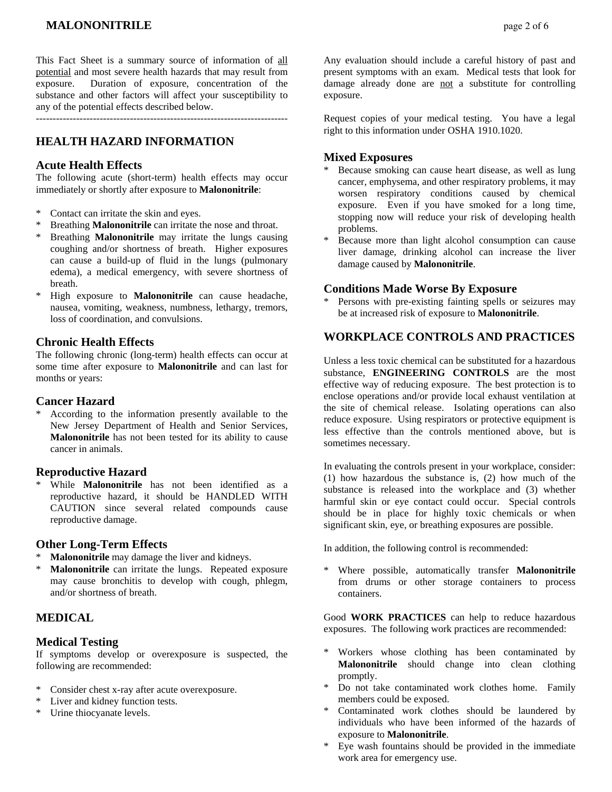# **MALONONITRILE**  $\qquad \qquad \text{page 2 of 6}$

This Fact Sheet is a summary source of information of all potential and most severe health hazards that may result from exposure. Duration of exposure, concentration of the substance and other factors will affect your susceptibility to any of the potential effects described below.

---------------------------------------------------------------------------

# **HEALTH HAZARD INFORMATION**

#### **Acute Health Effects**

The following acute (short-term) health effects may occur immediately or shortly after exposure to **Malononitrile**:

- \* Contact can irritate the skin and eyes.
- \* Breathing **Malononitrile** can irritate the nose and throat.
- Breathing **Malononitrile** may irritate the lungs causing coughing and/or shortness of breath. Higher exposures can cause a build-up of fluid in the lungs (pulmonary edema), a medical emergency, with severe shortness of breath.
- \* High exposure to **Malononitrile** can cause headache, nausea, vomiting, weakness, numbness, lethargy, tremors, loss of coordination, and convulsions.

## **Chronic Health Effects**

The following chronic (long-term) health effects can occur at some time after exposure to **Malononitrile** and can last for months or years:

#### **Cancer Hazard**

According to the information presently available to the New Jersey Department of Health and Senior Services, **Malononitrile** has not been tested for its ability to cause cancer in animals.

#### **Reproductive Hazard**

While **Malononitrile** has not been identified as a reproductive hazard, it should be HANDLED WITH CAUTION since several related compounds cause reproductive damage.

#### **Other Long-Term Effects**

- **Malononitrile** may damage the liver and kidneys.
- **Malononitrile** can irritate the lungs. Repeated exposure may cause bronchitis to develop with cough, phlegm, and/or shortness of breath.

## **MEDICAL**

#### **Medical Testing**

If symptoms develop or overexposure is suspected, the following are recommended:

- Consider chest x-ray after acute overexposure.
- \* Liver and kidney function tests.
- \* Urine thiocyanate levels.

Any evaluation should include a careful history of past and present symptoms with an exam. Medical tests that look for damage already done are not a substitute for controlling exposure.

Request copies of your medical testing. You have a legal right to this information under OSHA 1910.1020.

## **Mixed Exposures**

- Because smoking can cause heart disease, as well as lung cancer, emphysema, and other respiratory problems, it may worsen respiratory conditions caused by chemical exposure. Even if you have smoked for a long time, stopping now will reduce your risk of developing health problems.
- \* Because more than light alcohol consumption can cause liver damage, drinking alcohol can increase the liver damage caused by **Malononitrile**.

#### **Conditions Made Worse By Exposure**

Persons with pre-existing fainting spells or seizures may be at increased risk of exposure to **Malononitrile**.

# **WORKPLACE CONTROLS AND PRACTICES**

Unless a less toxic chemical can be substituted for a hazardous substance, **ENGINEERING CONTROLS** are the most effective way of reducing exposure. The best protection is to enclose operations and/or provide local exhaust ventilation at the site of chemical release. Isolating operations can also reduce exposure. Using respirators or protective equipment is less effective than the controls mentioned above, but is sometimes necessary.

In evaluating the controls present in your workplace, consider: (1) how hazardous the substance is, (2) how much of the substance is released into the workplace and (3) whether harmful skin or eye contact could occur. Special controls should be in place for highly toxic chemicals or when significant skin, eye, or breathing exposures are possible.

In addition, the following control is recommended:

Where possible, automatically transfer **Malononitrile** from drums or other storage containers to process containers.

Good **WORK PRACTICES** can help to reduce hazardous exposures. The following work practices are recommended:

- Workers whose clothing has been contaminated by **Malononitrile** should change into clean clothing promptly.
- \* Do not take contaminated work clothes home. Family members could be exposed.
- \* Contaminated work clothes should be laundered by individuals who have been informed of the hazards of exposure to **Malononitrile**.
- Eye wash fountains should be provided in the immediate work area for emergency use.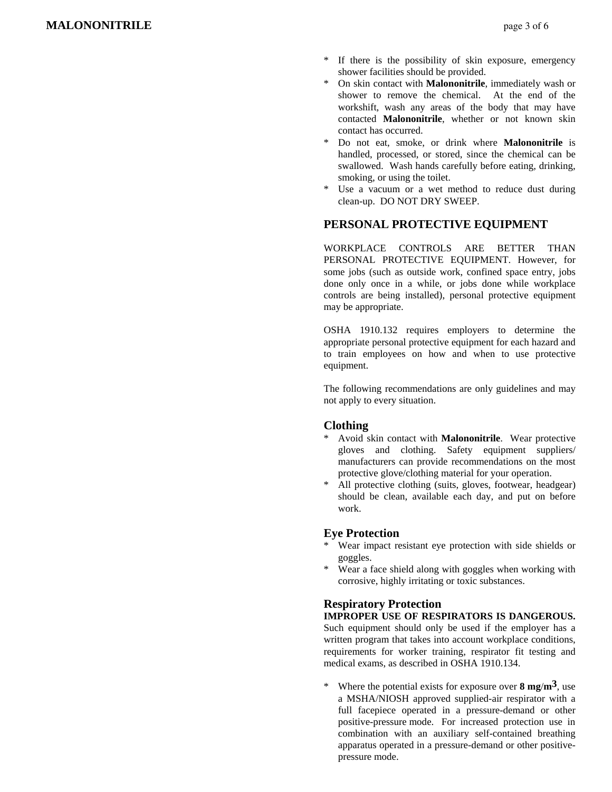- If there is the possibility of skin exposure, emergency shower facilities should be provided.
- \* On skin contact with **Malononitrile**, immediately wash or shower to remove the chemical. At the end of the workshift, wash any areas of the body that may have contacted **Malononitrile**, whether or not known skin contact has occurred.
- Do not eat, smoke, or drink where **Malononitrile** is handled, processed, or stored, since the chemical can be swallowed. Wash hands carefully before eating, drinking, smoking, or using the toilet.
- Use a vacuum or a wet method to reduce dust during clean-up. DO NOT DRY SWEEP.

#### **PERSONAL PROTECTIVE EQUIPMENT**

WORKPLACE CONTROLS ARE BETTER THAN PERSONAL PROTECTIVE EQUIPMENT. However, for some jobs (such as outside work, confined space entry, jobs done only once in a while, or jobs done while workplace controls are being installed), personal protective equipment may be appropriate.

OSHA 1910.132 requires employers to determine the appropriate personal protective equipment for each hazard and to train employees on how and when to use protective equipment.

The following recommendations are only guidelines and may not apply to every situation.

#### **Clothing**

- Avoid skin contact with **Malononitrile**. Wear protective gloves and clothing. Safety equipment suppliers/ manufacturers can provide recommendations on the most protective glove/clothing material for your operation.
- All protective clothing (suits, gloves, footwear, headgear) should be clean, available each day, and put on before work.

#### **Eye Protection**

- \* Wear impact resistant eye protection with side shields or goggles.
- Wear a face shield along with goggles when working with corrosive, highly irritating or toxic substances.

#### **Respiratory Protection**

## **IMPROPER USE OF RESPIRATORS IS DANGEROUS.**

Such equipment should only be used if the employer has a written program that takes into account workplace conditions, requirements for worker training, respirator fit testing and medical exams, as described in OSHA 1910.134.

Where the potential exists for exposure over  $8 \text{ mg/m}^3$ , use a MSHA/NIOSH approved supplied-air respirator with a full facepiece operated in a pressure-demand or other positive-pressure mode. For increased protection use in combination with an auxiliary self-contained breathing apparatus operated in a pressure-demand or other positivepressure mode.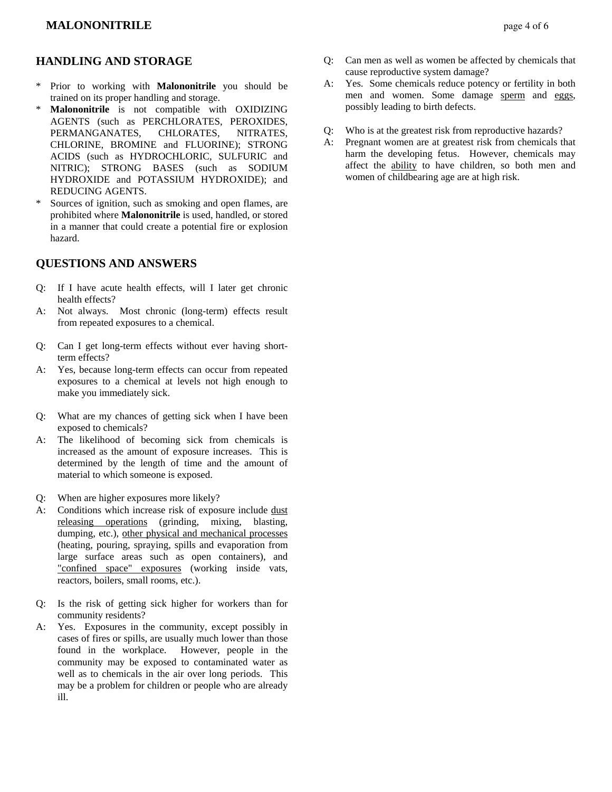## **MALONONITRILE**  $\qquad \qquad \text{page 4 of 6}$

## **HANDLING AND STORAGE**

- \* Prior to working with **Malononitrile** you should be trained on its proper handling and storage.
- **Malononitrile** is not compatible with OXIDIZING AGENTS (such as PERCHLORATES, PEROXIDES, PERMANGANATES, CHLORATES, NITRATES, CHLORINE, BROMINE and FLUORINE); STRONG ACIDS (such as HYDROCHLORIC, SULFURIC and NITRIC); STRONG BASES (such as SODIUM HYDROXIDE and POTASSIUM HYDROXIDE); and REDUCING AGENTS.
- \* Sources of ignition, such as smoking and open flames, are prohibited where **Malononitrile** is used, handled, or stored in a manner that could create a potential fire or explosion hazard.

#### **QUESTIONS AND ANSWERS**

- Q: If I have acute health effects, will I later get chronic health effects?
- A: Not always. Most chronic (long-term) effects result from repeated exposures to a chemical.
- Q: Can I get long-term effects without ever having shortterm effects?
- A: Yes, because long-term effects can occur from repeated exposures to a chemical at levels not high enough to make you immediately sick.
- Q: What are my chances of getting sick when I have been exposed to chemicals?
- A: The likelihood of becoming sick from chemicals is increased as the amount of exposure increases. This is determined by the length of time and the amount of material to which someone is exposed.
- Q: When are higher exposures more likely?
- A: Conditions which increase risk of exposure include dust releasing operations (grinding, mixing, blasting, dumping, etc.), other physical and mechanical processes (heating, pouring, spraying, spills and evaporation from large surface areas such as open containers), and "confined space" exposures (working inside vats, reactors, boilers, small rooms, etc.).
- Q: Is the risk of getting sick higher for workers than for community residents?
- A: Yes. Exposures in the community, except possibly in cases of fires or spills, are usually much lower than those found in the workplace. However, people in the community may be exposed to contaminated water as well as to chemicals in the air over long periods. This may be a problem for children or people who are already ill.
- Q: Can men as well as women be affected by chemicals that cause reproductive system damage?
- A: Yes. Some chemicals reduce potency or fertility in both men and women. Some damage sperm and eggs, possibly leading to birth defects.
- Q: Who is at the greatest risk from reproductive hazards?
- A: Pregnant women are at greatest risk from chemicals that harm the developing fetus. However, chemicals may affect the ability to have children, so both men and women of childbearing age are at high risk.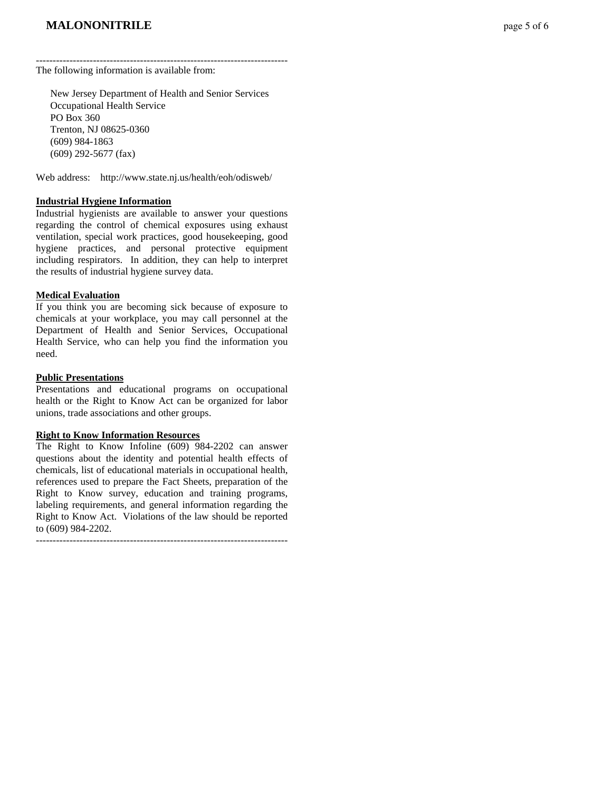--------------------------------------------------------------------------- The following information is available from:

 New Jersey Department of Health and Senior Services Occupational Health Service PO Box 360 Trenton, NJ 08625-0360 (609) 984-1863 (609) 292-5677 (fax)

Web address: http://www.state.nj.us/health/eoh/odisweb/

#### **Industrial Hygiene Information**

Industrial hygienists are available to answer your questions regarding the control of chemical exposures using exhaust ventilation, special work practices, good housekeeping, good hygiene practices, and personal protective equipment including respirators. In addition, they can help to interpret the results of industrial hygiene survey data.

#### **Medical Evaluation**

If you think you are becoming sick because of exposure to chemicals at your workplace, you may call personnel at the Department of Health and Senior Services, Occupational Health Service, who can help you find the information you need.

#### **Public Presentations**

Presentations and educational programs on occupational health or the Right to Know Act can be organized for labor unions, trade associations and other groups.

#### **Right to Know Information Resources**

The Right to Know Infoline (609) 984-2202 can answer questions about the identity and potential health effects of chemicals, list of educational materials in occupational health, references used to prepare the Fact Sheets, preparation of the Right to Know survey, education and training programs, labeling requirements, and general information regarding the Right to Know Act. Violations of the law should be reported to (609) 984-2202.

---------------------------------------------------------------------------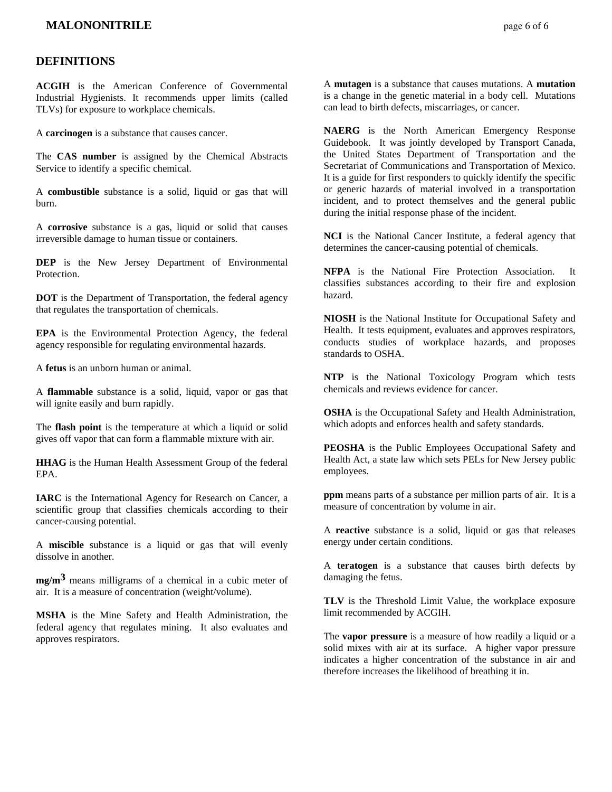## **DEFINITIONS**

**ACGIH** is the American Conference of Governmental Industrial Hygienists. It recommends upper limits (called TLVs) for exposure to workplace chemicals.

A **carcinogen** is a substance that causes cancer.

The **CAS number** is assigned by the Chemical Abstracts Service to identify a specific chemical.

A **combustible** substance is a solid, liquid or gas that will burn.

A **corrosive** substance is a gas, liquid or solid that causes irreversible damage to human tissue or containers.

**DEP** is the New Jersey Department of Environmental Protection.

**DOT** is the Department of Transportation, the federal agency that regulates the transportation of chemicals.

**EPA** is the Environmental Protection Agency, the federal agency responsible for regulating environmental hazards.

A **fetus** is an unborn human or animal.

A **flammable** substance is a solid, liquid, vapor or gas that will ignite easily and burn rapidly.

The **flash point** is the temperature at which a liquid or solid gives off vapor that can form a flammable mixture with air.

**HHAG** is the Human Health Assessment Group of the federal EPA.

**IARC** is the International Agency for Research on Cancer, a scientific group that classifies chemicals according to their cancer-causing potential.

A **miscible** substance is a liquid or gas that will evenly dissolve in another.

**mg/m3** means milligrams of a chemical in a cubic meter of air. It is a measure of concentration (weight/volume).

**MSHA** is the Mine Safety and Health Administration, the federal agency that regulates mining. It also evaluates and approves respirators.

A **mutagen** is a substance that causes mutations. A **mutation** is a change in the genetic material in a body cell. Mutations can lead to birth defects, miscarriages, or cancer.

**NAERG** is the North American Emergency Response Guidebook. It was jointly developed by Transport Canada, the United States Department of Transportation and the Secretariat of Communications and Transportation of Mexico. It is a guide for first responders to quickly identify the specific or generic hazards of material involved in a transportation incident, and to protect themselves and the general public during the initial response phase of the incident.

**NCI** is the National Cancer Institute, a federal agency that determines the cancer-causing potential of chemicals.

**NFPA** is the National Fire Protection Association. It classifies substances according to their fire and explosion hazard.

**NIOSH** is the National Institute for Occupational Safety and Health. It tests equipment, evaluates and approves respirators, conducts studies of workplace hazards, and proposes standards to OSHA.

**NTP** is the National Toxicology Program which tests chemicals and reviews evidence for cancer.

**OSHA** is the Occupational Safety and Health Administration, which adopts and enforces health and safety standards.

**PEOSHA** is the Public Employees Occupational Safety and Health Act, a state law which sets PELs for New Jersey public employees.

**ppm** means parts of a substance per million parts of air. It is a measure of concentration by volume in air.

A **reactive** substance is a solid, liquid or gas that releases energy under certain conditions.

A **teratogen** is a substance that causes birth defects by damaging the fetus.

**TLV** is the Threshold Limit Value, the workplace exposure limit recommended by ACGIH.

The **vapor pressure** is a measure of how readily a liquid or a solid mixes with air at its surface. A higher vapor pressure indicates a higher concentration of the substance in air and therefore increases the likelihood of breathing it in.